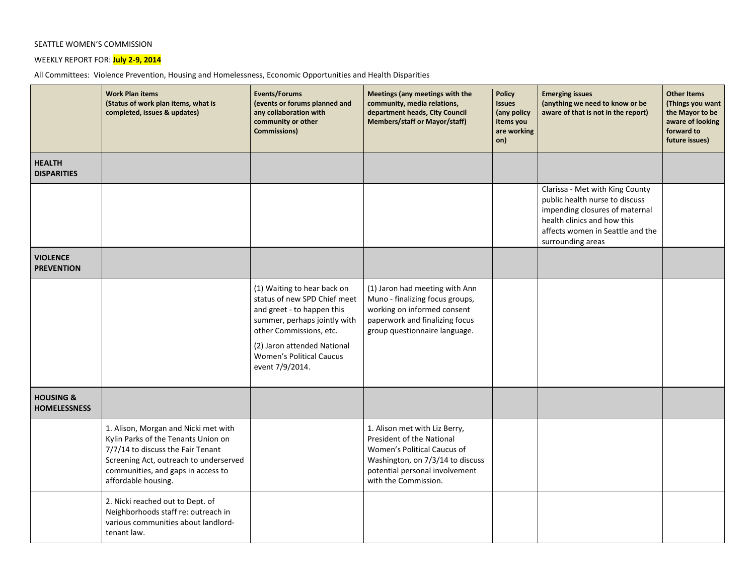## SEATTLE WOMEN'S COMMISSION

WEEKLY REPORT FOR: **July 2-9, 2014**

All Committees: Violence Prevention, Housing and Homelessness, Economic Opportunities and Health Disparities

|                                             | <b>Work Plan items</b><br>(Status of work plan items, what is<br>completed, issues & updates)                                                                                                                           | Events/Forums<br>(events or forums planned and<br>any collaboration with<br>community or other<br><b>Commissions)</b>                                                                                                                     | Meetings (any meetings with the<br>community, media relations,<br>department heads, City Council<br><b>Members/staff or Mayor/staff)</b>                                                | <b>Policy</b><br><b>Issues</b><br>(any policy<br>items you<br>are working<br>on) | <b>Emerging issues</b><br>(anything we need to know or be<br>aware of that is not in the report)                                                                                            | <b>Other Items</b><br>(Things you want<br>the Mayor to be<br>aware of looking<br>forward to<br>future issues) |
|---------------------------------------------|-------------------------------------------------------------------------------------------------------------------------------------------------------------------------------------------------------------------------|-------------------------------------------------------------------------------------------------------------------------------------------------------------------------------------------------------------------------------------------|-----------------------------------------------------------------------------------------------------------------------------------------------------------------------------------------|----------------------------------------------------------------------------------|---------------------------------------------------------------------------------------------------------------------------------------------------------------------------------------------|---------------------------------------------------------------------------------------------------------------|
| <b>HEALTH</b><br><b>DISPARITIES</b>         |                                                                                                                                                                                                                         |                                                                                                                                                                                                                                           |                                                                                                                                                                                         |                                                                                  |                                                                                                                                                                                             |                                                                                                               |
|                                             |                                                                                                                                                                                                                         |                                                                                                                                                                                                                                           |                                                                                                                                                                                         |                                                                                  | Clarissa - Met with King County<br>public health nurse to discuss<br>impending closures of maternal<br>health clinics and how this<br>affects women in Seattle and the<br>surrounding areas |                                                                                                               |
| <b>VIOLENCE</b><br><b>PREVENTION</b>        |                                                                                                                                                                                                                         |                                                                                                                                                                                                                                           |                                                                                                                                                                                         |                                                                                  |                                                                                                                                                                                             |                                                                                                               |
|                                             |                                                                                                                                                                                                                         | (1) Waiting to hear back on<br>status of new SPD Chief meet<br>and greet - to happen this<br>summer, perhaps jointly with<br>other Commissions, etc.<br>(2) Jaron attended National<br><b>Women's Political Caucus</b><br>event 7/9/2014. | (1) Jaron had meeting with Ann<br>Muno - finalizing focus groups,<br>working on informed consent<br>paperwork and finalizing focus<br>group questionnaire language.                     |                                                                                  |                                                                                                                                                                                             |                                                                                                               |
| <b>HOUSING &amp;</b><br><b>HOMELESSNESS</b> |                                                                                                                                                                                                                         |                                                                                                                                                                                                                                           |                                                                                                                                                                                         |                                                                                  |                                                                                                                                                                                             |                                                                                                               |
|                                             | 1. Alison, Morgan and Nicki met with<br>Kylin Parks of the Tenants Union on<br>7/7/14 to discuss the Fair Tenant<br>Screening Act, outreach to underserved<br>communities, and gaps in access to<br>affordable housing. |                                                                                                                                                                                                                                           | 1. Alison met with Liz Berry,<br>President of the National<br>Women's Political Caucus of<br>Washington, on 7/3/14 to discuss<br>potential personal involvement<br>with the Commission. |                                                                                  |                                                                                                                                                                                             |                                                                                                               |
|                                             | 2. Nicki reached out to Dept. of<br>Neighborhoods staff re: outreach in<br>various communities about landlord-<br>tenant law.                                                                                           |                                                                                                                                                                                                                                           |                                                                                                                                                                                         |                                                                                  |                                                                                                                                                                                             |                                                                                                               |